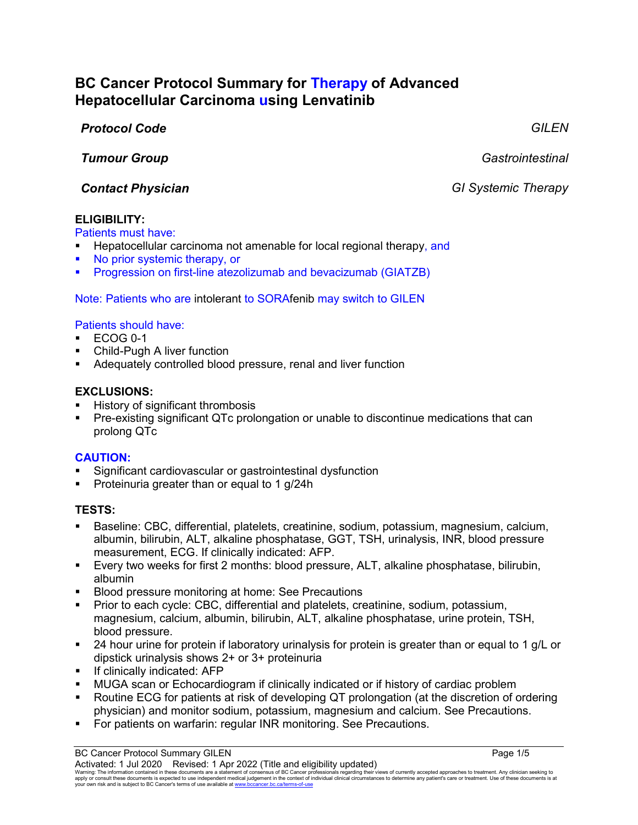# **BC Cancer Protocol Summary for Therapy of Advanced Hepatocellular Carcinoma using Lenvatinib**

### *Protocol Code GILEN*

*Tumour Group Gastrointestinal*

*Contact Physician GI Systemic Therapy*

# **ELIGIBILITY:**

Patients must have:

- Hepatocellular carcinoma not amenable for local regional therapy, and
- No prior systemic therapy, or
- Progression on first-line atezolizumab and bevacizumab (GIATZB)

Note: Patients who are intolerant to SORAfenib may switch to GILEN

### Patients should have:

- ECOG 0-1
- Child-Pugh A liver function
- Adequately controlled blood pressure, renal and liver function

# **EXCLUSIONS:**

- History of significant thrombosis
- Pre-existing significant QTc prolongation or unable to discontinue medications that can prolong QTc

# **CAUTION:**

- Significant cardiovascular or gastrointestinal dysfunction
- Proteinuria greater than or equal to 1 g/24h

# **TESTS:**

- Baseline: CBC, differential, platelets, creatinine, sodium, potassium, magnesium, calcium, albumin, bilirubin, ALT, alkaline phosphatase, GGT, TSH, urinalysis, INR, blood pressure measurement, ECG. If clinically indicated: AFP.
- Every two weeks for first 2 months: blood pressure, ALT, alkaline phosphatase, bilirubin, albumin
- **Blood pressure monitoring at home: See Precautions**
- Prior to each cycle: CBC, differential and platelets, creatinine, sodium, potassium, magnesium, calcium, albumin, bilirubin, ALT, alkaline phosphatase, urine protein, TSH, blood pressure.
- 24 hour urine for protein if laboratory urinalysis for protein is greater than or equal to 1 g/L or dipstick urinalysis shows 2+ or 3+ proteinuria
- **If clinically indicated: AFP**
- MUGA scan or Echocardiogram if clinically indicated or if history of cardiac problem
- Routine ECG for patients at risk of developing QT prolongation (at the discretion of ordering physician) and monitor sodium, potassium, magnesium and calcium. See Precautions.
- For patients on warfarin: regular INR monitoring. See Precautions.

Warning: The information contained in these documents are a statement of consensus of BC Cancer professionals regarding their views of currently accepted approaches to treatment. Any clinician seeking to<br>apply or consult t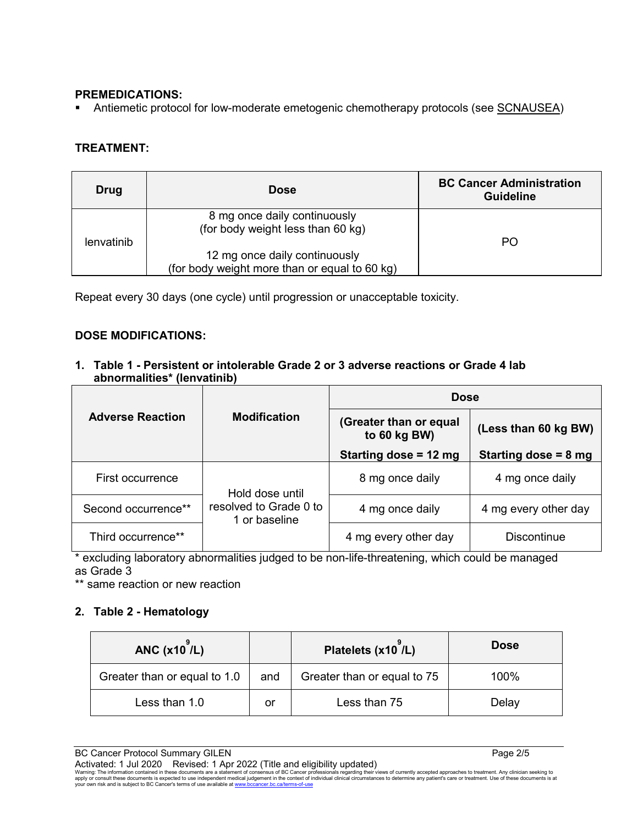#### **PREMEDICATIONS:**

Antiemetic protocol for low-moderate emetogenic chemotherapy protocols (see SCNAUSEA)

### **TREATMENT:**

| <b>Drug</b> | <b>Dose</b>                                                                    | <b>BC Cancer Administration</b><br><b>Guideline</b> |
|-------------|--------------------------------------------------------------------------------|-----------------------------------------------------|
| lenvatinib  | 8 mg once daily continuously<br>(for body weight less than 60 kg)              | PO.                                                 |
|             | 12 mg once daily continuously<br>(for body weight more than or equal to 60 kg) |                                                     |

Repeat every 30 days (one cycle) until progression or unacceptable toxicity.

#### **DOSE MODIFICATIONS:**

**1. Table 1 - Persistent or intolerable Grade 2 or 3 adverse reactions or Grade 4 lab abnormalities\* (lenvatinib)**

|                         | <b>Modification</b>                     | <b>Dose</b>                            |                                |  |
|-------------------------|-----------------------------------------|----------------------------------------|--------------------------------|--|
| <b>Adverse Reaction</b> |                                         | (Greater than or equal<br>to 60 kg BW) | (Less than 60 kg BW)           |  |
|                         |                                         | Starting dose = 12 mg                  | Starting dose = $8 \text{ mg}$ |  |
| First occurrence        | Hold dose until                         | 8 mg once daily                        | 4 mg once daily                |  |
| Second occurrence**     | resolved to Grade 0 to<br>1 or baseline | 4 mg once daily                        | 4 mg every other day           |  |
| Third occurrence**      |                                         | 4 mg every other day                   | <b>Discontinue</b>             |  |

\* excluding laboratory abnormalities judged to be non-life-threatening, which could be managed as Grade 3

\*\* same reaction or new reaction

#### **2. Table 2 - Hematology**

| ANC $(x10)$ <sup><math>/L</math></sup> ) |     | Platelets (x10 /L)          | <b>Dose</b> |
|------------------------------------------|-----|-----------------------------|-------------|
| Greater than or equal to 1.0             | and | Greater than or equal to 75 | 100%        |
| Less than 1.0                            | or  | Less than 75                | Delay       |

BC Cancer Protocol Summary GILEN **Page 2/5** Page 2/5 Activated: 1 Jul 2020 Revised: 1 Apr 2022 (Title and eligibility updated)

Warning: The information contained in these documents are a statement of consensus of BC Cancer professionals regarding their views of currently accepted approaches to treatment. Any clinician seeking to<br>apply or consult t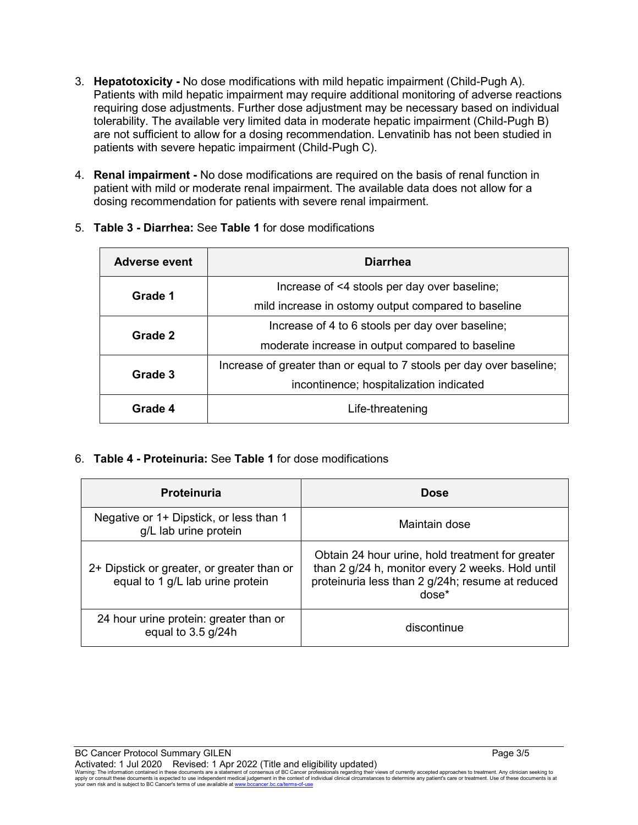- 3. **Hepatotoxicity -** No dose modifications with mild hepatic impairment (Child-Pugh A). Patients with mild hepatic impairment may require additional monitoring of adverse reactions requiring dose adjustments. Further dose adjustment may be necessary based on individual tolerability. The available very limited data in moderate hepatic impairment (Child-Pugh B) are not sufficient to allow for a dosing recommendation. Lenvatinib has not been studied in patients with severe hepatic impairment (Child-Pugh C).
- 4. **Renal impairment -** No dose modifications are required on the basis of renal function in patient with mild or moderate renal impairment. The available data does not allow for a dosing recommendation for patients with severe renal impairment.

| Adverse event | <b>Diarrhea</b>                                                      |  |
|---------------|----------------------------------------------------------------------|--|
| Grade 1       | Increase of <4 stools per day over baseline;                         |  |
|               | mild increase in ostomy output compared to baseline                  |  |
| Grade 2       | Increase of 4 to 6 stools per day over baseline;                     |  |
|               | moderate increase in output compared to baseline                     |  |
| Grade 3       | Increase of greater than or equal to 7 stools per day over baseline; |  |
|               | incontinence; hospitalization indicated                              |  |
| Grade 4       | Life-threatening                                                     |  |

5. **Table 3 - Diarrhea:** See **Table 1** for dose modifications

6. **Table 4 - Proteinuria:** See **Table 1** for dose modifications

| Proteinuria                                                                    | <b>Dose</b>                                                                                                                                                         |
|--------------------------------------------------------------------------------|---------------------------------------------------------------------------------------------------------------------------------------------------------------------|
| Negative or 1+ Dipstick, or less than 1<br>g/L lab urine protein               | Maintain dose                                                                                                                                                       |
| 2+ Dipstick or greater, or greater than or<br>equal to 1 g/L lab urine protein | Obtain 24 hour urine, hold treatment for greater<br>than 2 g/24 h, monitor every 2 weeks. Hold until<br>proteinuria less than 2 g/24h; resume at reduced<br>$dose*$ |
| 24 hour urine protein: greater than or<br>equal to $3.5$ g/24h                 | discontinue                                                                                                                                                         |

Warning: The information contained in these documents are a statement of consensus of BC Cancer professionals regarding their views of currently accepted approaches to treatment. Any clinician seeking to<br>apply or consult t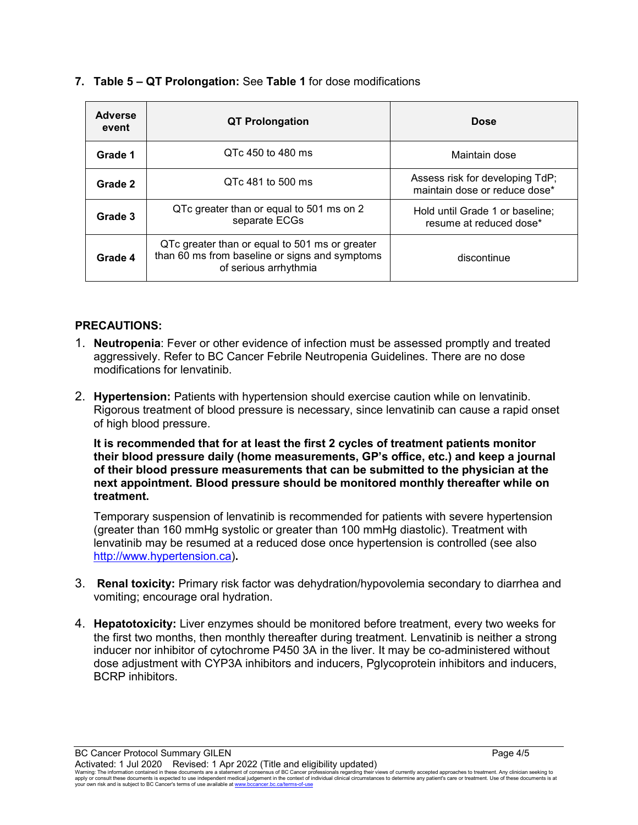| <b>Adverse</b><br>event | <b>QT Prolongation</b>                                                                                                    | <b>Dose</b>                                                      |
|-------------------------|---------------------------------------------------------------------------------------------------------------------------|------------------------------------------------------------------|
| Grade 1                 | QTc 450 to 480 ms                                                                                                         | Maintain dose                                                    |
| Grade 2                 | QTc 481 to 500 ms                                                                                                         | Assess risk for developing TdP;<br>maintain dose or reduce dose* |
| Grade 3                 | QTc greater than or equal to 501 ms on 2<br>separate ECGs                                                                 | Hold until Grade 1 or baseline;<br>resume at reduced dose*       |
| Grade 4                 | QTc greater than or equal to 501 ms or greater<br>than 60 ms from baseline or signs and symptoms<br>of serious arrhythmia | discontinue                                                      |

#### **7. Table 5 – QT Prolongation:** See **Table 1** for dose modifications

#### **PRECAUTIONS:**

- 1. **Neutropenia**: Fever or other evidence of infection must be assessed promptly and treated aggressively. Refer to BC Cancer Febrile Neutropenia Guidelines. There are no dose modifications for lenvatinib.
- 2. **Hypertension:** Patients with hypertension should exercise caution while on lenvatinib. Rigorous treatment of blood pressure is necessary, since lenvatinib can cause a rapid onset of high blood pressure.

**It is recommended that for at least the first 2 cycles of treatment patients monitor their blood pressure daily (home measurements, GP's office, etc.) and keep a journal of their blood pressure measurements that can be submitted to the physician at the next appointment. Blood pressure should be monitored monthly thereafter while on treatment.** 

Temporary suspension of lenvatinib is recommended for patients with severe hypertension (greater than 160 mmHg systolic or greater than 100 mmHg diastolic). Treatment with lenvatinib may be resumed at a reduced dose once hypertension is controlled (see also [http://www.hypertension.ca\)](http://www.hypertension.ca/)**.**

- 3. **Renal toxicity:** Primary risk factor was dehydration/hypovolemia secondary to diarrhea and vomiting; encourage oral hydration.
- 4. **Hepatotoxicity:** Liver enzymes should be monitored before treatment, every two weeks for the first two months, then monthly thereafter during treatment. Lenvatinib is neither a strong inducer nor inhibitor of cytochrome P450 3A in the liver. It may be co-administered without dose adjustment with CYP3A inhibitors and inducers, Pglycoprotein inhibitors and inducers, BCRP inhibitors.